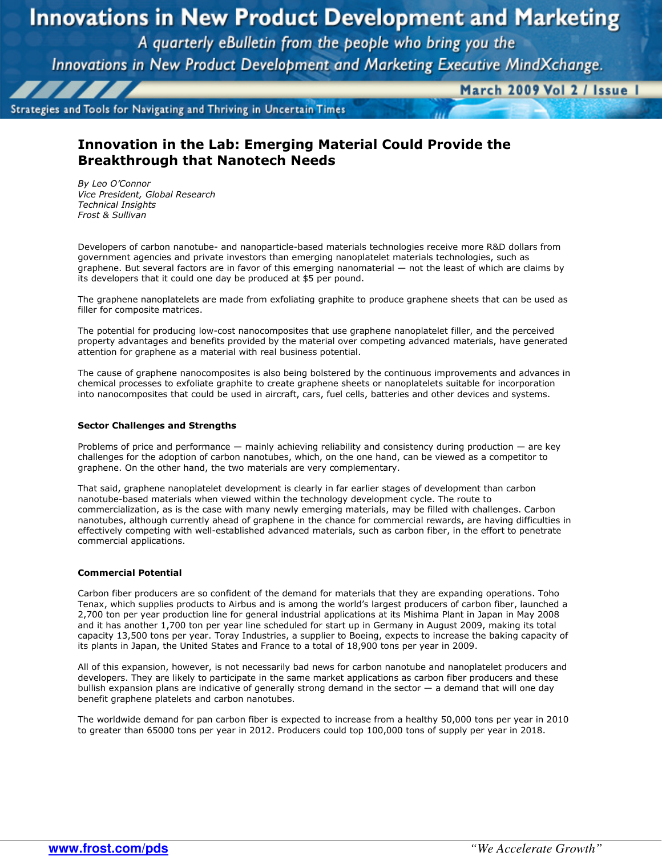# **Innovations in New Product Development and Marketing**

A quarterly eBulletin from the people who bring you the

Innovations in New Product Development and Marketing Executive MindXchange.

Strategies and Tools for Navigating and Thriving in Uncertain Times

March 2009 Vol 2 / Issue I

## Innovation in the Lab: Emerging Material Could Provide the Breakthrough that Nanotech Needs

By Leo O'Connor Vice President, Global Research Technical Insights Frost & Sullivan

Developers of carbon nanotube- and nanoparticle-based materials technologies receive more R&D dollars from government agencies and private investors than emerging nanoplatelet materials technologies, such as graphene. But several factors are in favor of this emerging nanomaterial — not the least of which are claims by its developers that it could one day be produced at \$5 per pound.

The graphene nanoplatelets are made from exfoliating graphite to produce graphene sheets that can be used as filler for composite matrices.

The potential for producing low-cost nanocomposites that use graphene nanoplatelet filler, and the perceived property advantages and benefits provided by the material over competing advanced materials, have generated attention for graphene as a material with real business potential.

The cause of graphene nanocomposites is also being bolstered by the continuous improvements and advances in chemical processes to exfoliate graphite to create graphene sheets or nanoplatelets suitable for incorporation into nanocomposites that could be used in aircraft, cars, fuel cells, batteries and other devices and systems.

### Sector Challenges and Strengths

Problems of price and performance — mainly achieving reliability and consistency during production — are key challenges for the adoption of carbon nanotubes, which, on the one hand, can be viewed as a competitor to graphene. On the other hand, the two materials are very complementary.

That said, graphene nanoplatelet development is clearly in far earlier stages of development than carbon nanotube-based materials when viewed within the technology development cycle. The route to commercialization, as is the case with many newly emerging materials, may be filled with challenges. Carbon nanotubes, although currently ahead of graphene in the chance for commercial rewards, are having difficulties in effectively competing with well-established advanced materials, such as carbon fiber, in the effort to penetrate commercial applications.

### Commercial Potential

Carbon fiber producers are so confident of the demand for materials that they are expanding operations. Toho Tenax, which supplies products to Airbus and is among the world's largest producers of carbon fiber, launched a 2,700 ton per year production line for general industrial applications at its Mishima Plant in Japan in May 2008 and it has another 1,700 ton per year line scheduled for start up in Germany in August 2009, making its total capacity 13,500 tons per year. Toray Industries, a supplier to Boeing, expects to increase the baking capacity of its plants in Japan, the United States and France to a total of 18,900 tons per year in 2009.

All of this expansion, however, is not necessarily bad news for carbon nanotube and nanoplatelet producers and developers. They are likely to participate in the same market applications as carbon fiber producers and these bullish expansion plans are indicative of generally strong demand in the sector — a demand that will one day benefit graphene platelets and carbon nanotubes.

The worldwide demand for pan carbon fiber is expected to increase from a healthy 50,000 tons per year in 2010 to greater than 65000 tons per year in 2012. Producers could top 100,000 tons of supply per year in 2018.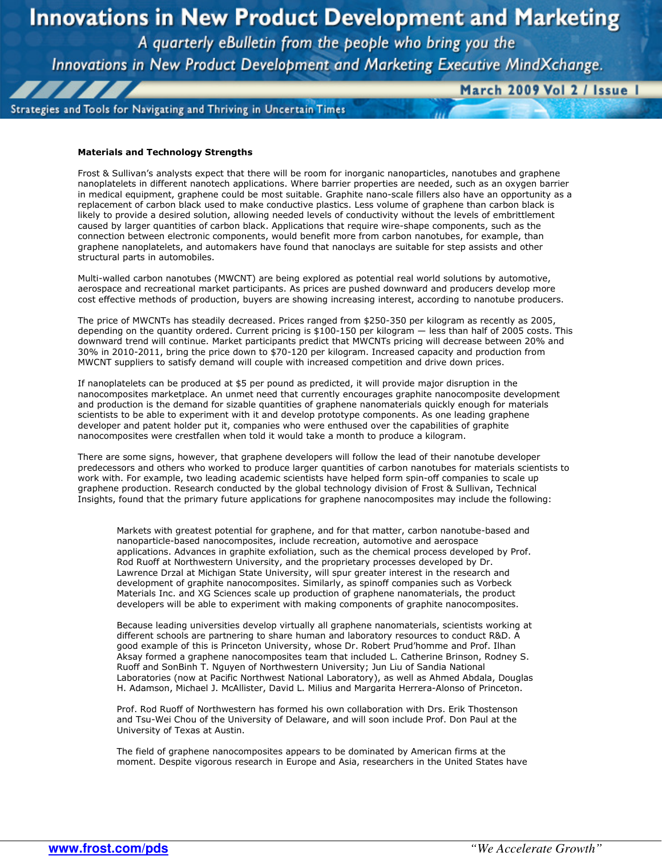# **Innovations in New Product Development and Marketing**

A quarterly eBulletin from the people who bring you the

Innovations in New Product Development and Marketing Executive MindXchange.

Strategies and Tools for Navigating and Thriving in Uncertain Times

March 2009 Vol 2 / Issue I

#### Materials and Technology Strengths

,,,,

Frost & Sullivan's analysts expect that there will be room for inorganic nanoparticles, nanotubes and graphene nanoplatelets in different nanotech applications. Where barrier properties are needed, such as an oxygen barrier in medical equipment, graphene could be most suitable. Graphite nano-scale fillers also have an opportunity as a replacement of carbon black used to make conductive plastics. Less volume of graphene than carbon black is likely to provide a desired solution, allowing needed levels of conductivity without the levels of embrittlement caused by larger quantities of carbon black. Applications that require wire-shape components, such as the connection between electronic components, would benefit more from carbon nanotubes, for example, than graphene nanoplatelets, and automakers have found that nanoclays are suitable for step assists and other structural parts in automobiles.

Multi-walled carbon nanotubes (MWCNT) are being explored as potential real world solutions by automotive, aerospace and recreational market participants. As prices are pushed downward and producers develop more cost effective methods of production, buyers are showing increasing interest, according to nanotube producers.

The price of MWCNTs has steadily decreased. Prices ranged from \$250-350 per kilogram as recently as 2005, depending on the quantity ordered. Current pricing is \$100-150 per kilogram — less than half of 2005 costs. This downward trend will continue. Market participants predict that MWCNTs pricing will decrease between 20% and 30% in 2010-2011, bring the price down to \$70-120 per kilogram. Increased capacity and production from MWCNT suppliers to satisfy demand will couple with increased competition and drive down prices.

If nanoplatelets can be produced at \$5 per pound as predicted, it will provide major disruption in the nanocomposites marketplace. An unmet need that currently encourages graphite nanocomposite development and production is the demand for sizable quantities of graphene nanomaterials quickly enough for materials scientists to be able to experiment with it and develop prototype components. As one leading graphene developer and patent holder put it, companies who were enthused over the capabilities of graphite nanocomposites were crestfallen when told it would take a month to produce a kilogram.

There are some signs, however, that graphene developers will follow the lead of their nanotube developer predecessors and others who worked to produce larger quantities of carbon nanotubes for materials scientists to work with. For example, two leading academic scientists have helped form spin-off companies to scale up graphene production. Research conducted by the global technology division of Frost & Sullivan, Technical Insights, found that the primary future applications for graphene nanocomposites may include the following:

Markets with greatest potential for graphene, and for that matter, carbon nanotube-based and nanoparticle-based nanocomposites, include recreation, automotive and aerospace applications. Advances in graphite exfoliation, such as the chemical process developed by Prof. Rod Ruoff at Northwestern University, and the proprietary processes developed by Dr. Lawrence Drzal at Michigan State University, will spur greater interest in the research and development of graphite nanocomposites. Similarly, as spinoff companies such as Vorbeck Materials Inc. and XG Sciences scale up production of graphene nanomaterials, the product developers will be able to experiment with making components of graphite nanocomposites.

Because leading universities develop virtually all graphene nanomaterials, scientists working at different schools are partnering to share human and laboratory resources to conduct R&D. A good example of this is Princeton University, whose Dr. Robert Prud'homme and Prof. Ilhan Aksay formed a graphene nanocomposites team that included L. Catherine Brinson, Rodney S. Ruoff and SonBinh T. Nguyen of Northwestern University; Jun Liu of Sandia National Laboratories (now at Pacific Northwest National Laboratory), as well as Ahmed Abdala, Douglas H. Adamson, Michael J. McAllister, David L. Milius and Margarita Herrera-Alonso of Princeton.

Prof. Rod Ruoff of Northwestern has formed his own collaboration with Drs. Erik Thostenson and Tsu-Wei Chou of the University of Delaware, and will soon include Prof. Don Paul at the University of Texas at Austin.

The field of graphene nanocomposites appears to be dominated by American firms at the moment. Despite vigorous research in Europe and Asia, researchers in the United States have